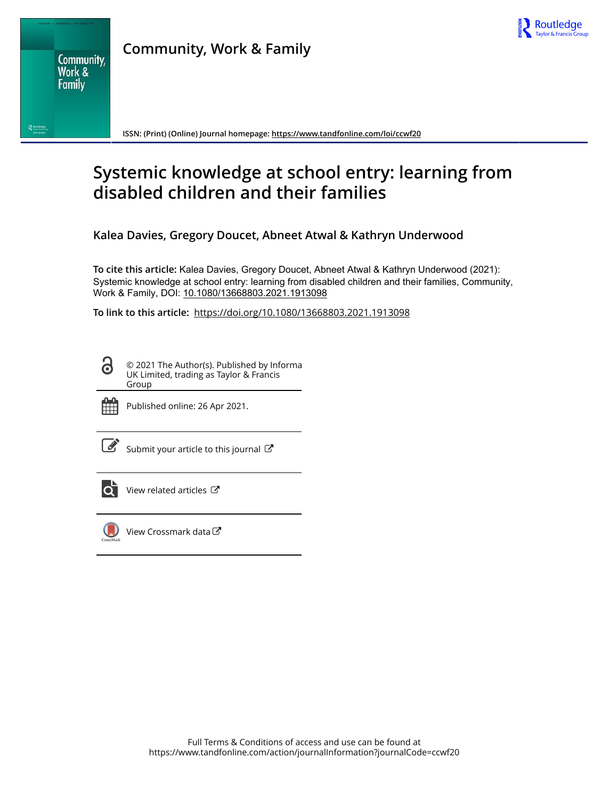



**ISSN: (Print) (Online) Journal homepage:<https://www.tandfonline.com/loi/ccwf20>**

# **Systemic knowledge at school entry: learning from disabled children and their families**

**Kalea Davies, Gregory Doucet, Abneet Atwal & Kathryn Underwood**

**To cite this article:** Kalea Davies, Gregory Doucet, Abneet Atwal & Kathryn Underwood (2021): Systemic knowledge at school entry: learning from disabled children and their families, Community, Work & Family, DOI: [10.1080/13668803.2021.1913098](https://www.tandfonline.com/action/showCitFormats?doi=10.1080/13668803.2021.1913098)

**To link to this article:** <https://doi.org/10.1080/13668803.2021.1913098>

© 2021 The Author(s). Published by Informa UK Limited, trading as Taylor & Francis Group



ര

Published online: 26 Apr 2021.

[Submit your article to this journal](https://www.tandfonline.com/action/authorSubmission?journalCode=ccwf20&show=instructions)  $\mathbb{Z}$ 



[View related articles](https://www.tandfonline.com/doi/mlt/10.1080/13668803.2021.1913098) C



[View Crossmark data](http://crossmark.crossref.org/dialog/?doi=10.1080/13668803.2021.1913098&domain=pdf&date_stamp=2021-04-26)<sup>C</sup>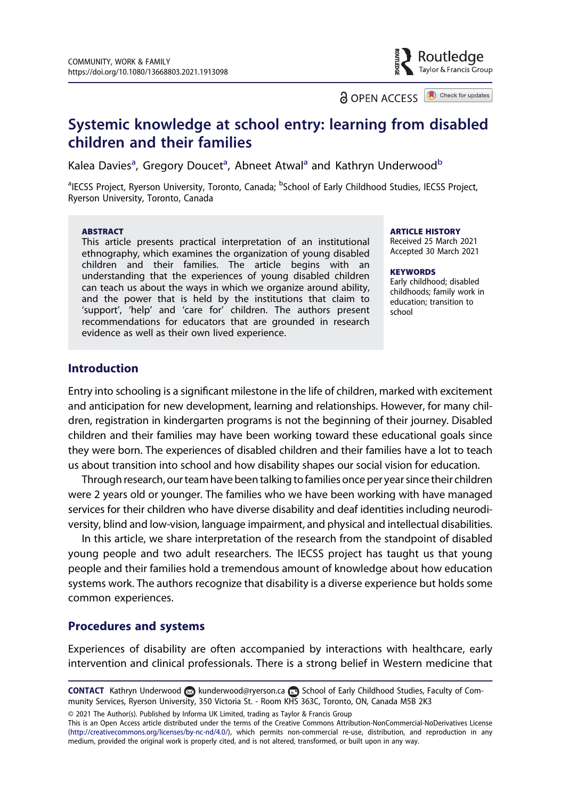**a** OPEN ACCESS **a** Check for updates

Routledae Taylor & Francis Group

## Systemic knowledge at school entry: learning from disabled children and their families

Kalea Davies<sup>a</sup>, Gregory Doucet<sup>a</sup>, Abneet Atwal<sup>a</sup> and Kathryn Underwood<sup>b</sup>

<sup>a</sup>IECSS Project, Ryerson University, Toronto, Canada; <sup>b</sup>School of Early Childhood Studies, IECSS Project, Ryerson University, Toronto, Canada

#### ABSTRACT

This article presents practical interpretation of an institutional ethnography, which examines the organization of young disabled children and their families. The article begins with an understanding that the experiences of young disabled children can teach us about the ways in which we organize around ability, and the power that is held by the institutions that claim to 'support', 'help' and 'care for' children. The authors present recommendations for educators that are grounded in research evidence as well as their own lived experience.

#### **ARTICLE HISTORY**

Received 25 March 2021 Accepted 30 March 2021

#### **KEYWORDS**

Early childhood; disabled childhoods; family work in education; transition to school

## **Introduction**

Entry into schooling is a significant milestone in the life of children, marked with excitement and anticipation for new development, learning and relationships. However, for many children, registration in kindergarten programs is not the beginning of their journey. Disabled children and their families may have been working toward these educational goals since they were born. The experiences of disabled children and their families have a lot to teach us about transition into school and how disability shapes our social vision for education.

Through research, our team have been talking tofamilies once per year since their children were 2 years old or younger. The families who we have been working with have managed services for their children who have diverse disability and deaf identities including neurodiversity, blind and low-vision, language impairment, and physical and intellectual disabilities.

In this article, we share interpretation of the research from the standpoint of disabled young people and two adult researchers. The IECSS project has taught us that young people and their families hold a tremendous amount of knowledge about how education systems work. The authors recognize that disability is a diverse experience but holds some common experiences.

### Procedures and systems

Experiences of disability are often accompanied by interactions with healthcare, early intervention and clinical professionals. There is a strong belief in Western medicine that

CONTACT Kathryn Underwood ⊗ [kunderwood@ryerson.ca](mailto:kunderwood@ryerson.ca) **B** School of Early Childhood Studies, Faculty of Community Services, Ryerson University, 350 Victoria St. - Room KHS 363C, Toronto, ON, Canada M5B 2K3

© 2021 The Author(s). Published by Informa UK Limited, trading as Taylor & Francis Group

This is an Open Access article distributed under the terms of the Creative Commons Attribution-NonCommercial-NoDerivatives License ([http://creativecommons.org/licenses/by-nc-nd/4.0/\)](http://creativecommons.org/licenses/by-nc-nd/4.0/), which permits non-commercial re-use, distribution, and reproduction in any medium, provided the original work is properly cited, and is not altered, transformed, or built upon in any way.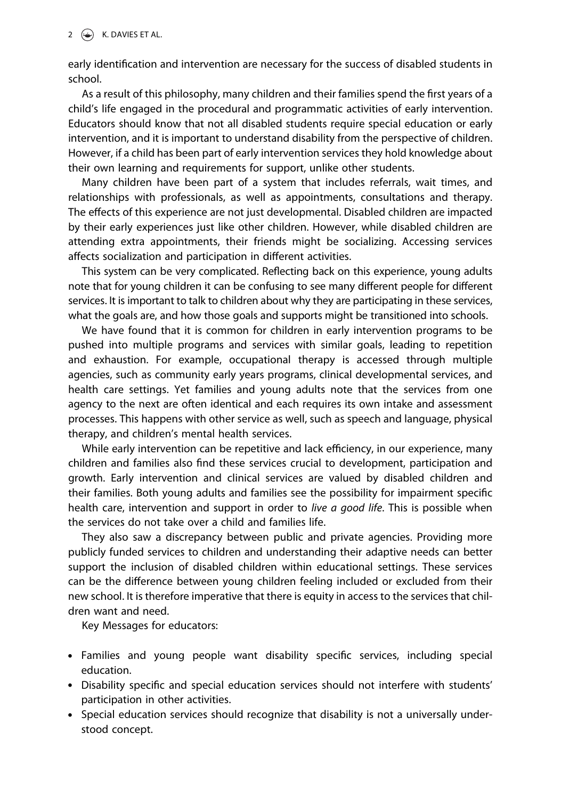### 2  $\left(\rightarrow\right)$  K. DAVIES ET AL.

early identification and intervention are necessary for the success of disabled students in school.

As a result of this philosophy, many children and their families spend the first years of a child's life engaged in the procedural and programmatic activities of early intervention. Educators should know that not all disabled students require special education or early intervention, and it is important to understand disability from the perspective of children. However, if a child has been part of early intervention services they hold knowledge about their own learning and requirements for support, unlike other students.

Many children have been part of a system that includes referrals, wait times, and relationships with professionals, as well as appointments, consultations and therapy. The effects of this experience are not just developmental. Disabled children are impacted by their early experiences just like other children. However, while disabled children are attending extra appointments, their friends might be socializing. Accessing services affects socialization and participation in different activities.

This system can be very complicated. Reflecting back on this experience, young adults note that for young children it can be confusing to see many different people for different services. It is important to talk to children about why they are participating in these services, what the goals are, and how those goals and supports might be transitioned into schools.

We have found that it is common for children in early intervention programs to be pushed into multiple programs and services with similar goals, leading to repetition and exhaustion. For example, occupational therapy is accessed through multiple agencies, such as community early years programs, clinical developmental services, and health care settings. Yet families and young adults note that the services from one agency to the next are often identical and each requires its own intake and assessment processes. This happens with other service as well, such as speech and language, physical therapy, and children's mental health services.

While early intervention can be repetitive and lack efficiency, in our experience, many children and families also find these services crucial to development, participation and growth. Early intervention and clinical services are valued by disabled children and their families. Both young adults and families see the possibility for impairment specific health care, intervention and support in order to live a good life. This is possible when the services do not take over a child and families life.

They also saw a discrepancy between public and private agencies. Providing more publicly funded services to children and understanding their adaptive needs can better support the inclusion of disabled children within educational settings. These services can be the difference between young children feeling included or excluded from their new school. It is therefore imperative that there is equity in access to the services that children want and need.

Key Messages for educators:

- . Families and young people want disability specific services, including special education.
- . Disability specific and special education services should not interfere with students' participation in other activities.
- . Special education services should recognize that disability is not a universally understood concept.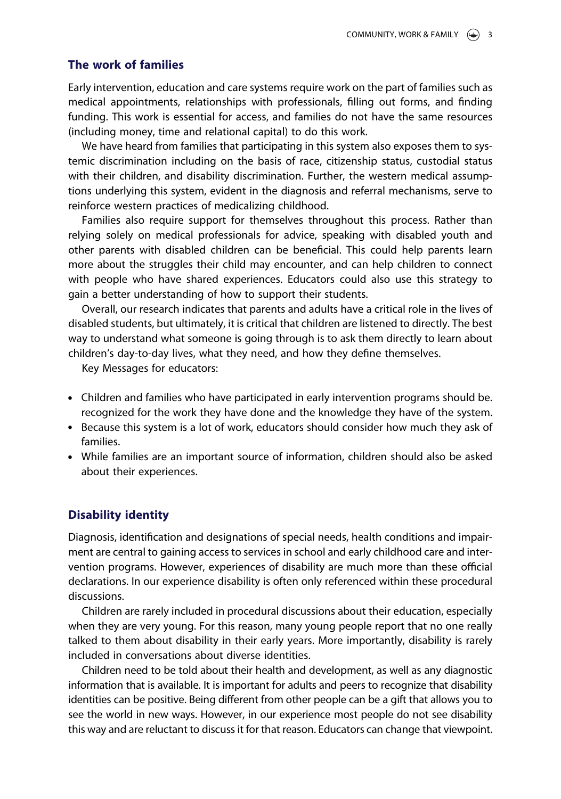#### The work of families

Early intervention, education and care systems require work on the part of families such as medical appointments, relationships with professionals, filling out forms, and finding funding. This work is essential for access, and families do not have the same resources (including money, time and relational capital) to do this work.

We have heard from families that participating in this system also exposes them to systemic discrimination including on the basis of race, citizenship status, custodial status with their children, and disability discrimination. Further, the western medical assumptions underlying this system, evident in the diagnosis and referral mechanisms, serve to reinforce western practices of medicalizing childhood.

Families also require support for themselves throughout this process. Rather than relying solely on medical professionals for advice, speaking with disabled youth and other parents with disabled children can be beneficial. This could help parents learn more about the struggles their child may encounter, and can help children to connect with people who have shared experiences. Educators could also use this strategy to gain a better understanding of how to support their students.

Overall, our research indicates that parents and adults have a critical role in the lives of disabled students, but ultimately, it is critical that children are listened to directly. The best way to understand what someone is going through is to ask them directly to learn about children's day-to-day lives, what they need, and how they define themselves.

Key Messages for educators:

- . Children and families who have participated in early intervention programs should be. recognized for the work they have done and the knowledge they have of the system.
- . Because this system is a lot of work, educators should consider how much they ask of families.
- . While families are an important source of information, children should also be asked about their experiences.

#### Disability identity

Diagnosis, identification and designations of special needs, health conditions and impairment are central to gaining access to services in school and early childhood care and intervention programs. However, experiences of disability are much more than these official declarations. In our experience disability is often only referenced within these procedural discussions.

Children are rarely included in procedural discussions about their education, especially when they are very young. For this reason, many young people report that no one really talked to them about disability in their early years. More importantly, disability is rarely included in conversations about diverse identities.

Children need to be told about their health and development, as well as any diagnostic information that is available. It is important for adults and peers to recognize that disability identities can be positive. Being different from other people can be a gift that allows you to see the world in new ways. However, in our experience most people do not see disability this way and are reluctant to discuss it for that reason. Educators can change that viewpoint.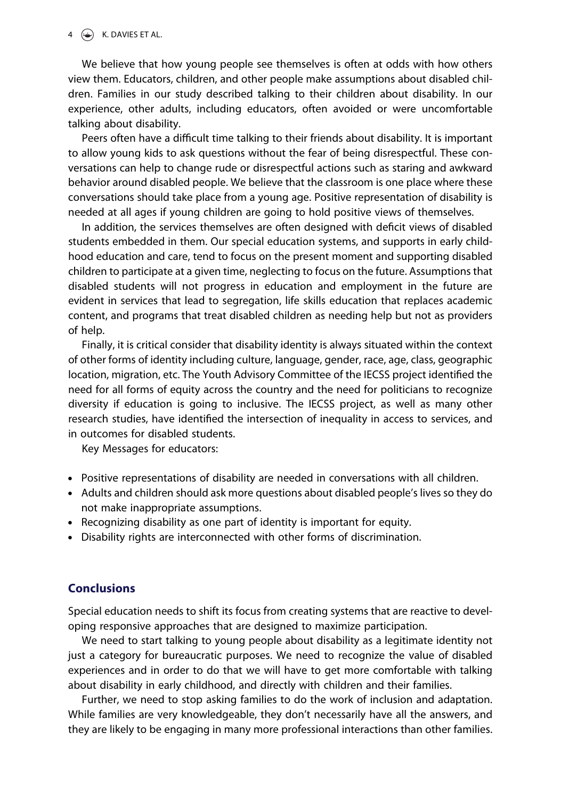#### $4 \quad \circledast$  K. DAVIES ET AL.

We believe that how young people see themselves is often at odds with how others view them. Educators, children, and other people make assumptions about disabled children. Families in our study described talking to their children about disability. In our experience, other adults, including educators, often avoided or were uncomfortable talking about disability.

Peers often have a difficult time talking to their friends about disability. It is important to allow young kids to ask questions without the fear of being disrespectful. These conversations can help to change rude or disrespectful actions such as staring and awkward behavior around disabled people. We believe that the classroom is one place where these conversations should take place from a young age. Positive representation of disability is needed at all ages if young children are going to hold positive views of themselves.

In addition, the services themselves are often designed with deficit views of disabled students embedded in them. Our special education systems, and supports in early childhood education and care, tend to focus on the present moment and supporting disabled children to participate at a given time, neglecting to focus on the future. Assumptions that disabled students will not progress in education and employment in the future are evident in services that lead to segregation, life skills education that replaces academic content, and programs that treat disabled children as needing help but not as providers of help.

Finally, it is critical consider that disability identity is always situated within the context of other forms of identity including culture, language, gender, race, age, class, geographic location, migration, etc. The Youth Advisory Committee of the IECSS project identified the need for all forms of equity across the country and the need for politicians to recognize diversity if education is going to inclusive. The IECSS project, as well as many other research studies, have identified the intersection of inequality in access to services, and in outcomes for disabled students.

Key Messages for educators:

- . Positive representations of disability are needed in conversations with all children.
- . Adults and children should ask more questions about disabled people's lives so they do not make inappropriate assumptions.
- . Recognizing disability as one part of identity is important for equity.
- . Disability rights are interconnected with other forms of discrimination.

## **Conclusions**

Special education needs to shift its focus from creating systems that are reactive to developing responsive approaches that are designed to maximize participation.

We need to start talking to young people about disability as a legitimate identity not just a category for bureaucratic purposes. We need to recognize the value of disabled experiences and in order to do that we will have to get more comfortable with talking about disability in early childhood, and directly with children and their families.

Further, we need to stop asking families to do the work of inclusion and adaptation. While families are very knowledgeable, they don't necessarily have all the answers, and they are likely to be engaging in many more professional interactions than other families.